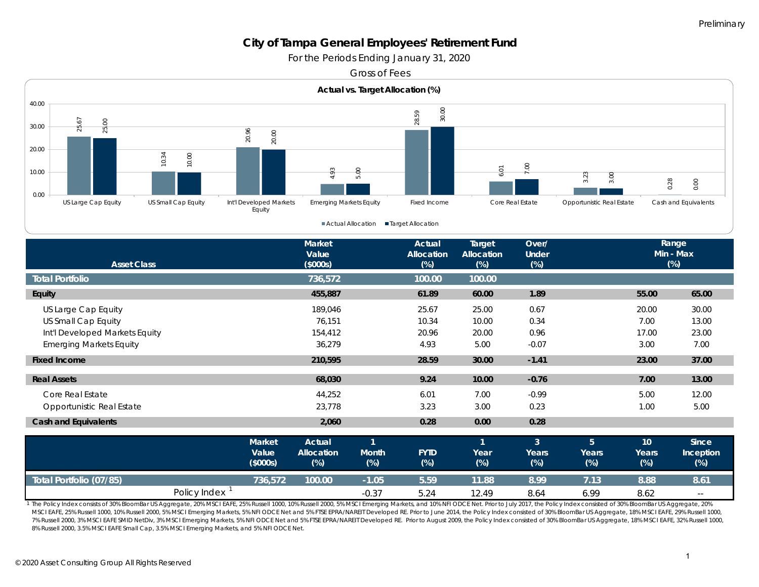*For the Periods Ending January 31, 2020*

Gross of Fees



| 2<br>25,00<br>30.00<br>25<br>20.00<br>10.34<br>10.00<br>10.00<br>0.00                                                                                                                                                                                                                                                                                                                                                                                                                                                                                                                                                                                                                                                                                                                             | 20.96<br>20.00                    | 4.93                                         | 5.00                                   | $\bar{\infty}$<br>28                         | 6,01                                         | S.                              | 3.23<br>3.00                      |                                | 0.28<br>0.00                    |  |  |
|---------------------------------------------------------------------------------------------------------------------------------------------------------------------------------------------------------------------------------------------------------------------------------------------------------------------------------------------------------------------------------------------------------------------------------------------------------------------------------------------------------------------------------------------------------------------------------------------------------------------------------------------------------------------------------------------------------------------------------------------------------------------------------------------------|-----------------------------------|----------------------------------------------|----------------------------------------|----------------------------------------------|----------------------------------------------|---------------------------------|-----------------------------------|--------------------------------|---------------------------------|--|--|
| US Large Cap Equity<br>US Small Cap Equity                                                                                                                                                                                                                                                                                                                                                                                                                                                                                                                                                                                                                                                                                                                                                        | Int'l Developed Markets<br>Equity | <b>Emerging Markets Equity</b>               |                                        | Fixed Income                                 |                                              | Core Real Estate                | Opportunistic Real Estate         |                                | Cash and Equivalents            |  |  |
| Actual Allocation<br>■Target Allocation                                                                                                                                                                                                                                                                                                                                                                                                                                                                                                                                                                                                                                                                                                                                                           |                                   |                                              |                                        |                                              |                                              |                                 |                                   |                                |                                 |  |  |
| <b>Asset Class</b>                                                                                                                                                                                                                                                                                                                                                                                                                                                                                                                                                                                                                                                                                                                                                                                |                                   | <b>Market</b><br>Value<br>(5000s)            |                                        | <b>Actual</b><br><b>Allocation</b><br>$(\%)$ | <b>Target</b><br><b>Allocation</b><br>$(\%)$ | Over/<br><b>Under</b><br>(%)    |                                   |                                | Range<br>Min - Max<br>$(\%)$    |  |  |
| <b>Total Portfolio</b>                                                                                                                                                                                                                                                                                                                                                                                                                                                                                                                                                                                                                                                                                                                                                                            |                                   | 736,572                                      |                                        | 100.00                                       | 100.00                                       |                                 |                                   |                                |                                 |  |  |
| Equity                                                                                                                                                                                                                                                                                                                                                                                                                                                                                                                                                                                                                                                                                                                                                                                            |                                   | 455,887                                      |                                        | 61.89                                        | 60.00                                        | 1.89                            |                                   | 55.00                          | 65.00                           |  |  |
| US Large Cap Equity<br>US Small Cap Equity<br>Int'l Developed Markets Equity<br><b>Emerging Markets Equity</b>                                                                                                                                                                                                                                                                                                                                                                                                                                                                                                                                                                                                                                                                                    |                                   | 189,046<br>76,151<br>154,412<br>36,279       |                                        | 25.67<br>10.34<br>20.96<br>4.93              | 25.00<br>10.00<br>20.00<br>5.00              | 0.67<br>0.34<br>0.96<br>$-0.07$ |                                   | 20.00<br>7.00<br>17.00<br>3.00 | 30.00<br>13.00<br>23.00<br>7.00 |  |  |
| <b>Fixed Income</b>                                                                                                                                                                                                                                                                                                                                                                                                                                                                                                                                                                                                                                                                                                                                                                               |                                   | 210,595                                      |                                        | 28.59                                        | 30.00                                        | $-1.41$                         |                                   | 23.00                          | 37.00                           |  |  |
| <b>Real Assets</b>                                                                                                                                                                                                                                                                                                                                                                                                                                                                                                                                                                                                                                                                                                                                                                                |                                   | 68,030                                       |                                        | 9.24                                         | 10.00                                        | $-0.76$                         |                                   | 7.00                           | 13.00                           |  |  |
| Core Real Estate<br>Opportunistic Real Estate                                                                                                                                                                                                                                                                                                                                                                                                                                                                                                                                                                                                                                                                                                                                                     |                                   | 44,252<br>23,778                             |                                        | 6.01<br>3.23                                 | 7.00<br>3.00                                 | $-0.99$<br>0.23                 |                                   | 5.00<br>1.00                   | 12.00<br>5.00                   |  |  |
| <b>Cash and Equivalents</b>                                                                                                                                                                                                                                                                                                                                                                                                                                                                                                                                                                                                                                                                                                                                                                       |                                   | 2.060                                        |                                        | 0.28                                         | 0.00                                         | 0.28                            |                                   |                                |                                 |  |  |
|                                                                                                                                                                                                                                                                                                                                                                                                                                                                                                                                                                                                                                                                                                                                                                                                   | <b>Market</b><br>Value<br>(5000s) | <b>Actual</b><br><b>Allocation</b><br>$(\%)$ | $\mathbf{1}$<br><b>Month</b><br>$(\%)$ | <b>FYTD</b><br>$(\%)$                        | $\mathbf{1}$<br>Year<br>$(\%)$               | 3 <sup>1</sup><br>Years<br>(%)  | 5 <sup>1</sup><br>Years<br>$(\%)$ | 10<br>Years<br>$(\%)$          | Since<br>Inception<br>$(\%)$    |  |  |
| Total Portfolio (07/85)                                                                                                                                                                                                                                                                                                                                                                                                                                                                                                                                                                                                                                                                                                                                                                           | 736,572                           | 100.00                                       | $-1.05$                                | 5.59                                         | 11.88                                        | 8.99                            | 7.13                              | 8.88                           | 8.61                            |  |  |
| Policy Index <sup>1</sup>                                                                                                                                                                                                                                                                                                                                                                                                                                                                                                                                                                                                                                                                                                                                                                         |                                   |                                              | $-0.37$                                | 5.24                                         | 12.49                                        | 8.64                            | 6.99                              | 8.62                           | $\sim$                          |  |  |
| The Policy Index consists of 30% BloomBar US Aggregate, 20% MSCI EAFE, 25% Russell 1000, 10% Russell 2000, 5% MSCI Emerging Markets, and 10% NFI ODCE Net. Prior to July 2017, the Policy Index consisted of 30% BloomBar US A<br>MSCI EAFE, 25% Russell 1000, 10% Russell 2000, 5% MSCI Emerging Markets, 5% NFI ODCE Net and 5% FTSE EPRA/NAREIT Developed RE. Prior to June 2014, the Policy Index consisted of 30% BloomBar US Aggregate, 18% MSCI EAFE, 29%<br>7% Russell 2000, 3% MSCI EAFE SMID NetDiv, 3% MSCI Emerging Markets, 5% NFI ODCE Net and 5% FTSE EPRA/NAREIT Developed RE. Prior to August 2009, the Policy Index consisted of 30% BloomBar US Aggregate, 18% MSCI EAFE, 32% R<br>8% Russell 2000, 3.5% MSCI EAFE Small Cap, 3.5% MSCI Emerging Markets, and 5% NFI ODCE Net. |                                   |                                              |                                        |                                              |                                              |                                 |                                   |                                |                                 |  |  |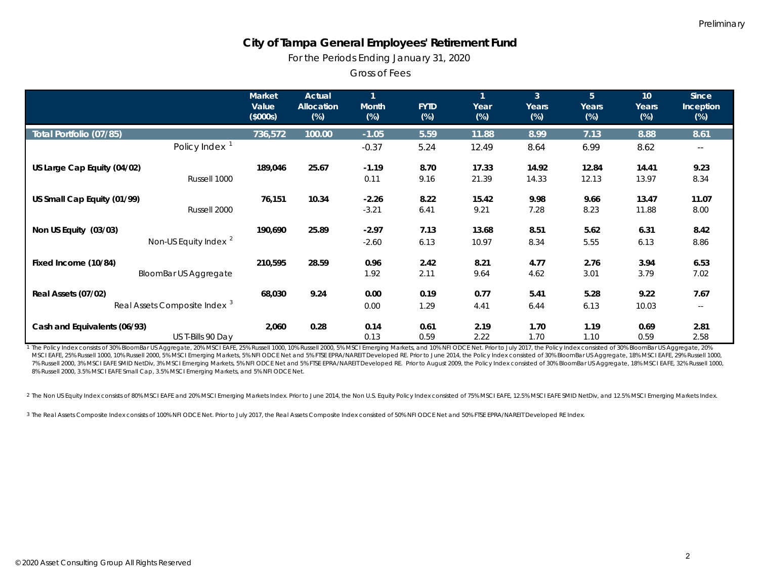*For the Periods Ending January 31, 2020*

Gross of Fees

|                                          | <b>Market</b><br>Value<br>(\$000s) | Actual<br><b>Allocation</b><br>$(\%)$ | $\mathbf{1}$<br><b>Month</b><br>$(\%)$ | <b>FYTD</b><br>$(\%)$ | $\mathbf{1}$<br>Year<br>$(\%)$ | $\overline{3}$<br>Years<br>$(\%)$ | 5 <sup>5</sup><br>Years<br>$(\%)$ | 10 <sup>°</sup><br>Years<br>$(\%)$ | <b>Since</b><br>Inception<br>$(\%)$ |
|------------------------------------------|------------------------------------|---------------------------------------|----------------------------------------|-----------------------|--------------------------------|-----------------------------------|-----------------------------------|------------------------------------|-------------------------------------|
| Total Portfolio (07/85)                  | 736,572                            | 100.00                                | $-1.05$                                | 5.59                  | 11.88                          | 8.99                              | 7.13                              | 8.88                               | 8.61                                |
| Policy Index <sup>1</sup>                |                                    |                                       | $-0.37$                                | 5.24                  | 12.49                          | 8.64                              | 6.99                              | 8.62                               | $\sim$ $-$                          |
| US Large Cap Equity (04/02)              | 189,046                            | 25.67                                 | $-1.19$                                | 8.70                  | 17.33                          | 14.92                             | 12.84                             | 14.41                              | 9.23                                |
|                                          | Russell 1000                       |                                       | 0.11                                   | 9.16                  | 21.39                          | 14.33                             | 12.13                             | 13.97                              | 8.34                                |
| US Small Cap Equity (01/99)              | 76,151                             | 10.34                                 | $-2.26$                                | 8.22                  | 15.42                          | 9.98                              | 9.66                              | 13.47                              | 11.07                               |
|                                          | Russell 2000                       |                                       | $-3.21$                                | 6.41                  | 9.21                           | 7.28                              | 8.23                              | 11.88                              | 8.00                                |
| Non US Equity (03/03)                    | 190,690                            | 25.89                                 | $-2.97$                                | 7.13                  | 13.68                          | 8.51                              | 5.62                              | 6.31                               | 8.42                                |
| Non-US Equity Index <sup>2</sup>         |                                    |                                       | $-2.60$                                | 6.13                  | 10.97                          | 8.34                              | 5.55                              | 6.13                               | 8.86                                |
| Fixed Income (10/84)                     | 210,595                            | 28.59                                 | 0.96                                   | 2.42                  | 8.21                           | 4.77                              | 2.76                              | 3.94                               | 6.53                                |
| <b>BloomBar US Aggregate</b>             |                                    |                                       | 1.92                                   | 2.11                  | 9.64                           | 4.62                              | 3.01                              | 3.79                               | 7.02                                |
| Real Assets (07/02)                      | 68,030                             | 9.24                                  | 0.00                                   | 0.19                  | 0.77                           | 5.41                              | 5.28                              | 9.22                               | 7.67                                |
| Real Assets Composite Index <sup>3</sup> |                                    |                                       | 0.00                                   | 1.29                  | 4.41                           | 6.44                              | 6.13                              | 10.03                              | $\sim$ $\sim$                       |
| Cash and Equivalents (06/93)             | 2,060                              | 0.28                                  | 0.14                                   | 0.61                  | 2.19                           | 1.70                              | 1.19                              | 0.69                               | 2.81                                |
| US T-Bills 90 Day                        |                                    |                                       | 0.13                                   | 0.59                  | 2.22                           | 1.70                              | 1.10                              | 0.59                               | 2.58                                |

1 The Policy Index consists of 30% BloomBar US Aggregate, 20% MSCI EAFE, 25% Russell 1000, 10% Russell 2000, 5% MSCI Emerging Markets, and 10% NFI ODCE Net. Prior to July 2017, the Policy Index consisted of 30% BloomBar US MSCI EAFE, 25% Russell 1000, 10% Russell 2000, 5% MSCI Emerging Markets, 5% NFI ODCE Net and 5% FTSE EPRA/NAREIT Developed RE. Prior to June 2014, the Policy Index consisted of 30% BloomBar US Aggregate, 18% MSCI EAFE, 29% 7% Russell 2000, 3% MSCI EAFE SMID NetDiv, 3% MSCI Emerging Markets, 5% NFI ODCE Net and 5% FTSE EPRA/NAREIT Developed RE. Prior to August 2009, the Policy Index consisted of 30% BloomBar US Aggregate, 18% MSCI EAFE, 32% R 8% Russell 2000, 3.5% MSCI EAFE Small Cap, 3.5% MSCI Emerging Markets, and 5% NFI ODCE Net.

2 The Non US Equity Index consists of 80% MSCI EAFE and 20% MSCI Emerging Markets Index. Prior to June 2014, the Non U.S. Equity Policy Index consisted of 75% MSCI EAFE, 12.5% MSCI EAFE SMID NetDiv, and 12.5% MSCI Emerging

<sup>3</sup> The Real Assets Composite Index consists of 100% NFI ODCE Net. Prior to July 2017, the Real Assets Composite Index consisted of 50% NFI ODCE Net and 50% FTSE EPRA/NAREIT Developed RE Index.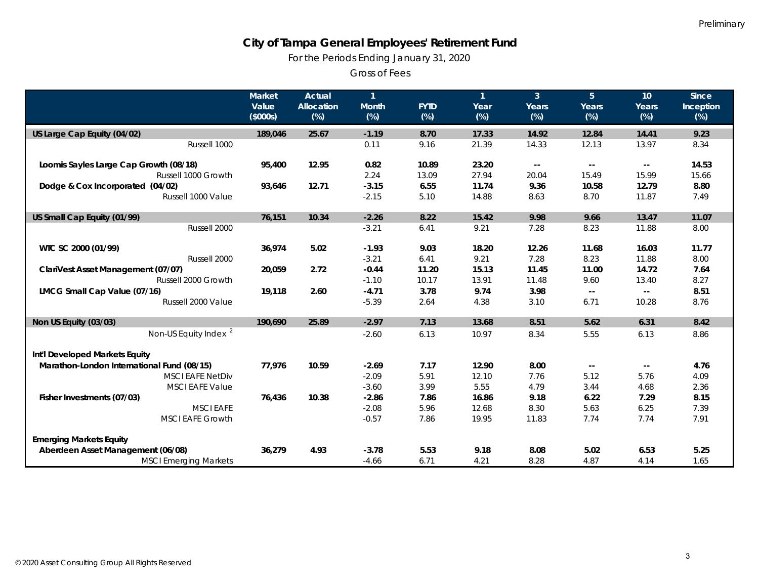*For the Periods Ending January 31, 2020*

Gross of Fees

|                                            | <b>Market</b><br>Value | <b>Actual</b><br><b>Allocation</b> | $\mathbf{1}$<br><b>Month</b> | <b>FYTD</b> | $\mathbf{1}$<br>Year | 3 <sup>1</sup><br>Years  | 5 <sup>5</sup><br>Years | 10 <sup>°</sup><br>Years                      | <b>Since</b><br>Inception |
|--------------------------------------------|------------------------|------------------------------------|------------------------------|-------------|----------------------|--------------------------|-------------------------|-----------------------------------------------|---------------------------|
|                                            | (\$000s)               | $(\%)$                             | $(\%)$                       | $(\%)$      | (%)                  | $(\%)$                   | $(\%)$                  | $(\%)$                                        | $(\%)$                    |
| US Large Cap Equity (04/02)                | 189,046                | 25.67                              | $-1.19$                      | 8.70        | 17.33                | 14.92                    | 12.84                   | 14.41                                         | 9.23                      |
| Russell 1000                               |                        |                                    | 0.11                         | 9.16        | 21.39                | 14.33                    | 12.13                   | 13.97                                         | 8.34                      |
| Loomis Sayles Large Cap Growth (08/18)     | 95,400                 | 12.95                              | 0.82                         | 10.89       | 23.20                | $\overline{\phantom{a}}$ | $- -$                   | $\mathord{\hspace{1pt}\text{--}\hspace{1pt}}$ | 14.53                     |
| Russell 1000 Growth                        |                        |                                    | 2.24                         | 13.09       | 27.94                | 20.04                    | 15.49                   | 15.99                                         | 15.66                     |
| Dodge & Cox Incorporated (04/02)           | 93,646                 | 12.71                              | $-3.15$                      | 6.55        | 11.74                | 9.36                     | 10.58                   | 12.79                                         | 8.80                      |
| Russell 1000 Value                         |                        |                                    | $-2.15$                      | 5.10        | 14.88                | 8.63                     | 8.70                    | 11.87                                         | 7.49                      |
| US Small Cap Equity (01/99)                | 76,151                 | 10.34                              | $-2.26$                      | 8.22        | 15.42                | 9.98                     | 9.66                    | 13.47                                         | 11.07                     |
| Russell 2000                               |                        |                                    | $-3.21$                      | 6.41        | 9.21                 | 7.28                     | 8.23                    | 11.88                                         | 8.00                      |
| WTC SC 2000 (01/99)                        | 36,974                 | 5.02                               | $-1.93$                      | 9.03        | 18.20                | 12.26                    | 11.68                   | 16.03                                         | 11.77                     |
| Russell 2000                               |                        |                                    | $-3.21$                      | 6.41        | 9.21                 | 7.28                     | 8.23                    | 11.88                                         | 8.00                      |
| ClariVest Asset Management (07/07)         | 20,059                 | 2.72                               | $-0.44$                      | 11.20       | 15.13                | 11.45                    | 11.00                   | 14.72                                         | 7.64                      |
| Russell 2000 Growth                        |                        |                                    | $-1.10$                      | 10.17       | 13.91                | 11.48                    | 9.60                    | 13.40                                         | 8.27                      |
| LMCG Small Cap Value (07/16)               | 19,118                 | 2.60                               | $-4.71$                      | 3.78        | 9.74                 | 3.98                     | $\sim$ $\sim$           | $\mathord{\hspace{1pt}\text{--}\hspace{1pt}}$ | 8.51                      |
| Russell 2000 Value                         |                        |                                    | $-5.39$                      | 2.64        | 4.38                 | 3.10                     | 6.71                    | 10.28                                         | 8.76                      |
| Non US Equity (03/03)                      | 190,690                | 25.89                              | $-2.97$                      | 7.13        | 13.68                | 8.51                     | 5.62                    | 6.31                                          | 8.42                      |
| Non-US Equity Index <sup>2</sup>           |                        |                                    | $-2.60$                      | 6.13        | 10.97                | 8.34                     | 5.55                    | 6.13                                          | 8.86                      |
| Int'l Developed Markets Equity             |                        |                                    |                              |             |                      |                          |                         |                                               |                           |
| Marathon-London International Fund (08/15) | 77,976                 | 10.59                              | $-2.69$                      | 7.17        | 12.90                | 8.00                     | $\sim$                  | $\mathord{\hspace{1pt}\text{--}\hspace{1pt}}$ | 4.76                      |
| <b>MSCI EAFE NetDiv</b>                    |                        |                                    | $-2.09$                      | 5.91        | 12.10                | 7.76                     | 5.12                    | 5.76                                          | 4.09                      |
| <b>MSCI EAFE Value</b>                     |                        |                                    | $-3.60$                      | 3.99        | 5.55                 | 4.79                     | 3.44                    | 4.68                                          | 2.36                      |
| Fisher Investments (07/03)                 | 76,436                 | 10.38                              | $-2.86$                      | 7.86        | 16.86                | 9.18                     | 6.22                    | 7.29                                          | 8.15                      |
| <b>MSCI EAFE</b>                           |                        |                                    | $-2.08$                      | 5.96        | 12.68                | 8.30                     | 5.63                    | 6.25                                          | 7.39                      |
| <b>MSCI EAFE Growth</b>                    |                        |                                    | $-0.57$                      | 7.86        | 19.95                | 11.83                    | 7.74                    | 7.74                                          | 7.91                      |
| <b>Emerging Markets Equity</b>             |                        |                                    |                              |             |                      |                          |                         |                                               |                           |
| Aberdeen Asset Management (06/08)          | 36,279                 | 4.93                               | $-3.78$                      | 5.53        | 9.18                 | 8.08                     | 5.02                    | 6.53                                          | 5.25                      |
| <b>MSCI Emerging Markets</b>               |                        |                                    | $-4.66$                      | 6.71        | 4.21                 | 8.28                     | 4.87                    | 4.14                                          | 1.65                      |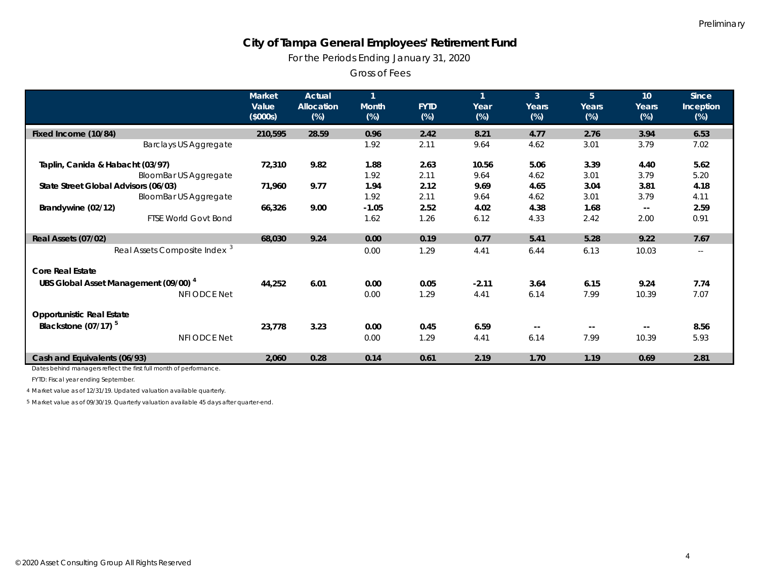*For the Periods Ending January 31, 2020*

Gross of Fees

|                                                  | Market<br>Value<br>(\$000s) | <b>Actual</b><br>Allocation<br>$(\%)$ | $\mathbf{1}$<br><b>Month</b><br>$(\%)$ | <b>FYTD</b><br>(%) | $\mathbf{1}$<br>Year<br>$(\%)$ | 3 <sup>1</sup><br>Years<br>(%) | 5 <sup>5</sup><br>Years<br>(%) | 10<br>Years<br>$(\%)$    | <b>Since</b><br>Inception<br>$(\%)$ |
|--------------------------------------------------|-----------------------------|---------------------------------------|----------------------------------------|--------------------|--------------------------------|--------------------------------|--------------------------------|--------------------------|-------------------------------------|
|                                                  |                             |                                       |                                        |                    |                                |                                |                                |                          |                                     |
| Fixed Income (10/84)                             | 210,595                     | 28.59                                 | 0.96                                   | 2.42               | 8.21                           | 4.77                           | 2.76                           | 3.94                     | 6.53                                |
| <b>Barclays US Aggregate</b>                     |                             |                                       | 1.92                                   | 2.11               | 9.64                           | 4.62                           | 3.01                           | 3.79                     | 7.02                                |
| Taplin, Canida & Habacht (03/97)                 | 72,310                      | 9.82                                  | 1.88                                   | 2.63               | 10.56                          | 5.06                           | 3.39                           | 4.40                     | 5.62                                |
| <b>BloomBar US Aggregate</b>                     |                             |                                       | 1.92                                   | 2.11               | 9.64                           | 4.62                           | 3.01                           | 3.79                     | 5.20                                |
| State Street Global Advisors (06/03)             | 71,960                      | 9.77                                  | 1.94                                   | 2.12               | 9.69                           | 4.65                           | 3.04                           | 3.81                     | 4.18                                |
| <b>BloomBar US Aggregate</b>                     |                             |                                       | 1.92                                   | 2.11               | 9.64                           | 4.62                           | 3.01                           | 3.79                     | 4.11                                |
| Brandywine (02/12)                               | 66,326                      | 9.00                                  | $-1.05$                                | 2.52               | 4.02                           | 4.38                           | 1.68                           | $\overline{\phantom{m}}$ | 2.59                                |
| <b>FTSE World Govt Bond</b>                      |                             |                                       | 1.62                                   | 1.26               | 6.12                           | 4.33                           | 2.42                           | 2.00                     | 0.91                                |
| Real Assets (07/02)                              | 68,030                      | 9.24                                  | 0.00                                   | 0.19               | 0.77                           | 5.41                           | 5.28                           | 9.22                     | 7.67                                |
| Real Assets Composite Index <sup>3</sup>         |                             |                                       | 0.00                                   | 1.29               | 4.41                           | 6.44                           | 6.13                           | 10.03                    | $\overline{\phantom{m}}$            |
| <b>Core Real Estate</b>                          |                             |                                       |                                        |                    |                                |                                |                                |                          |                                     |
| UBS Global Asset Management (09/00) <sup>4</sup> | 44,252                      | 6.01                                  | 0.00                                   | 0.05               | $-2.11$                        | 3.64                           | 6.15                           | 9.24                     | 7.74                                |
| <b>NFI ODCE Net</b>                              |                             |                                       | 0.00                                   | 1.29               | 4.41                           | 6.14                           | 7.99                           | 10.39                    | 7.07                                |
| <b>Opportunistic Real Estate</b>                 |                             |                                       |                                        |                    |                                |                                |                                |                          |                                     |
| Blackstone $(07/17)^5$                           | 23,778                      | 3.23                                  | 0.00                                   | 0.45               | 6.59                           | $- -$                          | $-$                            | $- -$                    | 8.56                                |
| <b>NFI ODCE Net</b>                              |                             |                                       | 0.00                                   | 1.29               | 4.41                           | 6.14                           | 7.99                           | 10.39                    | 5.93                                |
| Cash and Equivalents (06/93)                     | 2,060                       | 0.28                                  | 0.14                                   | 0.61               | 2.19                           | 1.70                           | 1.19                           | 0.69                     | 2.81                                |

Dates behind managers reflect the first full month of performance.

FYTD: Fiscal year ending September.

4 Market value as of 12/31/19. Updated valuation available quarterly.

5 Market value as of 09/30/19. Quarterly valuation available 45 days after quarter-end.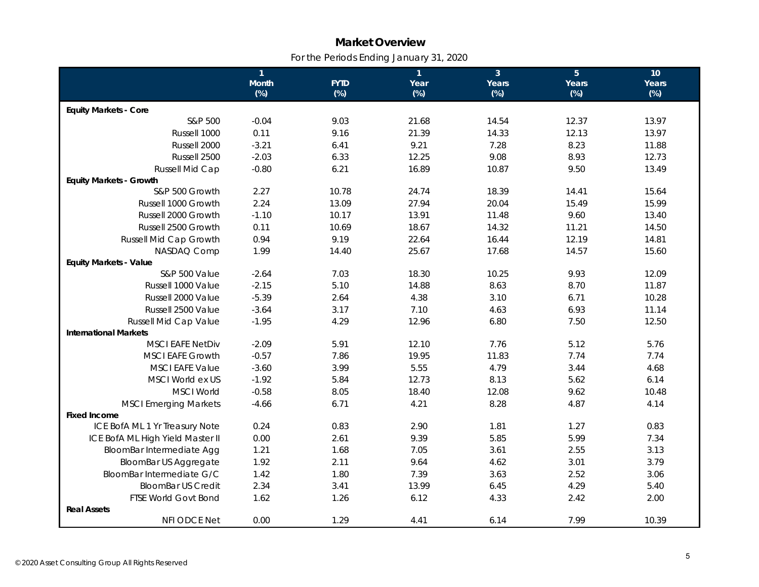# **Market Overview** *For the Periods Ending January 31, 2020*

|                                  | $\overline{1}$ |             | $\mathbf{1}$ | 3 <sup>1</sup> | $\overline{5}$ | 10     |
|----------------------------------|----------------|-------------|--------------|----------------|----------------|--------|
|                                  | Month          | <b>FYTD</b> | Year         | Years          | Years          | Years  |
|                                  | $(\%)$         | $(\%)$      | $(\%)$       | $(\%)$         | $(\%)$         | $(\%)$ |
| <b>Equity Markets - Core</b>     |                |             |              |                |                |        |
| S&P 500                          | $-0.04$        | 9.03        | 21.68        | 14.54          | 12.37          | 13.97  |
| Russell 1000                     | 0.11           | 9.16        | 21.39        | 14.33          | 12.13          | 13.97  |
| Russell 2000                     | $-3.21$        | 6.41        | 9.21         | 7.28           | 8.23           | 11.88  |
| Russell 2500                     | $-2.03$        | 6.33        | 12.25        | 9.08           | 8.93           | 12.73  |
| Russell Mid Cap                  | $-0.80$        | 6.21        | 16.89        | 10.87          | 9.50           | 13.49  |
| <b>Equity Markets - Growth</b>   |                |             |              |                |                |        |
| S&P 500 Growth                   | 2.27           | 10.78       | 24.74        | 18.39          | 14.41          | 15.64  |
| Russell 1000 Growth              | 2.24           | 13.09       | 27.94        | 20.04          | 15.49          | 15.99  |
| Russell 2000 Growth              | $-1.10$        | 10.17       | 13.91        | 11.48          | 9.60           | 13.40  |
| Russell 2500 Growth              | 0.11           | 10.69       | 18.67        | 14.32          | 11.21          | 14.50  |
| Russell Mid Cap Growth           | 0.94           | 9.19        | 22.64        | 16.44          | 12.19          | 14.81  |
| NASDAQ Comp                      | 1.99           | 14.40       | 25.67        | 17.68          | 14.57          | 15.60  |
| <b>Equity Markets - Value</b>    |                |             |              |                |                |        |
| S&P 500 Value                    | $-2.64$        | 7.03        | 18.30        | 10.25          | 9.93           | 12.09  |
| Russell 1000 Value               | $-2.15$        | 5.10        | 14.88        | 8.63           | 8.70           | 11.87  |
| Russell 2000 Value               | $-5.39$        | 2.64        | 4.38         | 3.10           | 6.71           | 10.28  |
| Russell 2500 Value               | $-3.64$        | 3.17        | 7.10         | 4.63           | 6.93           | 11.14  |
| Russell Mid Cap Value            | $-1.95$        | 4.29        | 12.96        | 6.80           | 7.50           | 12.50  |
| <b>International Markets</b>     |                |             |              |                |                |        |
| <b>MSCI EAFE NetDiv</b>          | $-2.09$        | 5.91        | 12.10        | 7.76           | 5.12           | 5.76   |
| <b>MSCI EAFE Growth</b>          | $-0.57$        | 7.86        | 19.95        | 11.83          | 7.74           | 7.74   |
| <b>MSCI EAFE Value</b>           | $-3.60$        | 3.99        | 5.55         | 4.79           | 3.44           | 4.68   |
| MSCI World ex US                 | $-1.92$        | 5.84        | 12.73        | 8.13           | 5.62           | 6.14   |
| <b>MSCI World</b>                | $-0.58$        | 8.05        | 18.40        | 12.08          | 9.62           | 10.48  |
| <b>MSCI Emerging Markets</b>     | $-4.66$        | 6.71        | 4.21         | 8.28           | 4.87           | 4.14   |
| <b>Fixed Income</b>              |                |             |              |                |                |        |
| ICE BofA ML 1 Yr Treasury Note   | 0.24           | 0.83        | 2.90         | 1.81           | 1.27           | 0.83   |
| ICE BofA ML High Yield Master II | 0.00           | 2.61        | 9.39         | 5.85           | 5.99           | 7.34   |
| BloomBar Intermediate Agg        | 1.21           | 1.68        | 7.05         | 3.61           | 2.55           | 3.13   |
| <b>BloomBar US Aggregate</b>     | 1.92           | 2.11        | 9.64         | 4.62           | 3.01           | 3.79   |
| BloomBar Intermediate G/C        | 1.42           | 1.80        | 7.39         | 3.63           | 2.52           | 3.06   |
| <b>BloomBar US Credit</b>        | 2.34           | 3.41        | 13.99        | 6.45           | 4.29           | 5.40   |
| FTSE World Govt Bond             | 1.62           | 1.26        | 6.12         | 4.33           | 2.42           | 2.00   |
| <b>Real Assets</b>               |                |             |              |                |                |        |
| NFI ODCE Net                     | 0.00           | 1.29        | 4.41         | 6.14           | 7.99           | 10.39  |